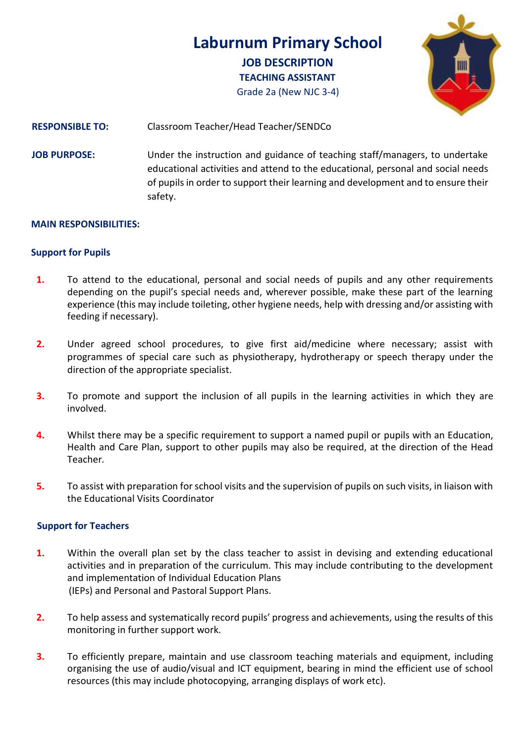**Laburnum Primary School JOB DESCRIPTION TEACHING ASSISTANT** Grade 2a (New NJC 3-4)



# **RESPONSIBLE TO:** Classroom Teacher/Head Teacher/SENDCo

**JOB PURPOSE:** Under the instruction and guidance of teaching staff/managers, to undertake educational activities and attend to the educational, personal and social needs of pupils in order to support their learning and development and to ensure their safety.

### **MAIN RESPONSIBILITIES:**

#### **Support for Pupils**

- **1.** To attend to the educational, personal and social needs of pupils and any other requirements depending on the pupil's special needs and, wherever possible, make these part of the learning experience (this may include toileting, other hygiene needs, help with dressing and/or assisting with feeding if necessary).
- **2.** Under agreed school procedures, to give first aid/medicine where necessary; assist with programmes of special care such as physiotherapy, hydrotherapy or speech therapy under the direction of the appropriate specialist.
- **3.** To promote and support the inclusion of all pupils in the learning activities in which they are involved.
- **4.** Whilst there may be a specific requirement to support a named pupil or pupils with an Education, Health and Care Plan, support to other pupils may also be required, at the direction of the Head Teacher*.*
- **5.** To assist with preparation for school visits and the supervision of pupils on such visits, in liaison with the Educational Visits Coordinator

### **Support for Teachers**

- **1.** Within the overall plan set by the class teacher to assist in devising and extending educational activities and in preparation of the curriculum. This may include contributing to the development and implementation of Individual Education Plans (IEPs) and Personal and Pastoral Support Plans.
- **2.** To help assess and systematically record pupils' progress and achievements, using the results of this monitoring in further support work.
- **3.** To efficiently prepare, maintain and use classroom teaching materials and equipment, including organising the use of audio/visual and ICT equipment, bearing in mind the efficient use of school resources (this may include photocopying, arranging displays of work etc).